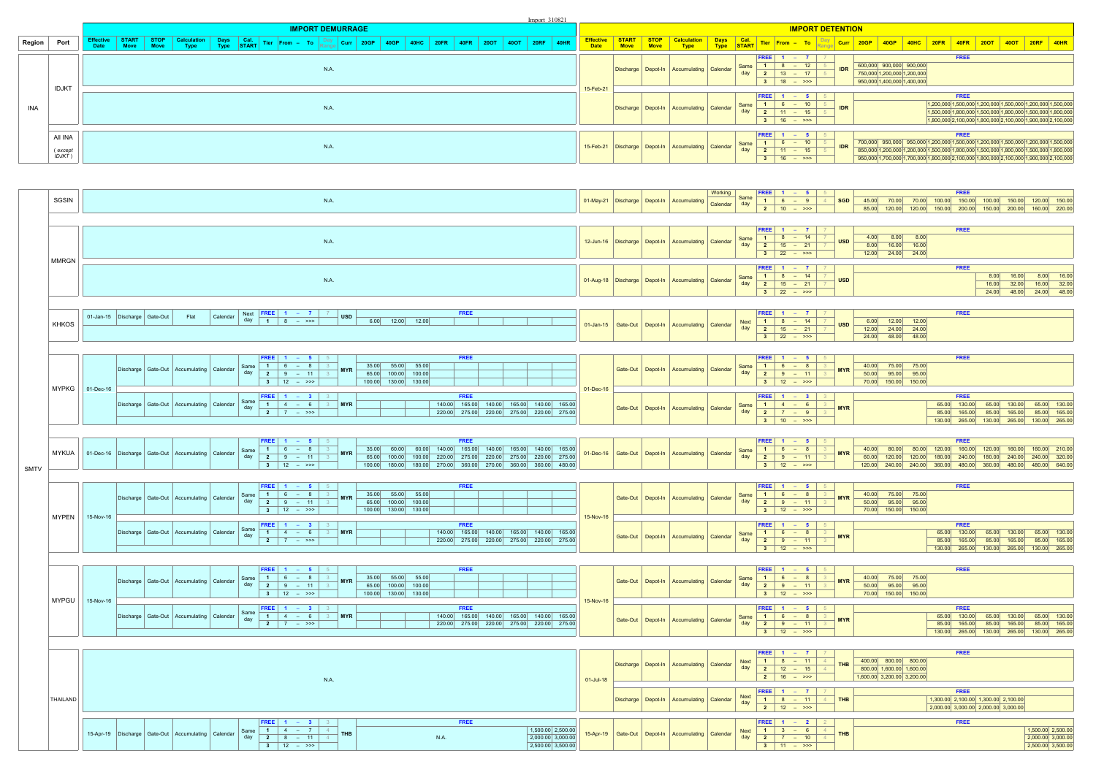|      | SGSIN                                                              |                                  |  |      |                                                            |             |                                                                                                 | N.A.        |            |                      |                                             |  |             |  |                                                                                        |           | 01-May-21   Discharge   Depot-In | Accumulating                                               | Working<br>Calendar day $\begin{array}{ c c c c c }\n\hline\n\text{Calendar} & \text{day} & \begin{array}{ c c c }\n\hline\n1 & 6 & - & 9 \\ \hline\n2 & 10 & - & & \rightarrow & \rightarrow & \n\end{array}$ | Same               |                                     | <b>FREE</b>   $1 - 5$                                                                                                                                 | <b>SGD</b>                            | 45.00 70.00 70.00 100.00 150.00 100.00 150.00 120.00 150.00                                       | <b>FREE</b>                  |                                                                              |        |                                                                                     |
|------|--------------------------------------------------------------------|----------------------------------|--|------|------------------------------------------------------------|-------------|-------------------------------------------------------------------------------------------------|-------------|------------|----------------------|---------------------------------------------|--|-------------|--|----------------------------------------------------------------------------------------|-----------|----------------------------------|------------------------------------------------------------|----------------------------------------------------------------------------------------------------------------------------------------------------------------------------------------------------------------|--------------------|-------------------------------------|-------------------------------------------------------------------------------------------------------------------------------------------------------|---------------------------------------|---------------------------------------------------------------------------------------------------|------------------------------|------------------------------------------------------------------------------|--------|-------------------------------------------------------------------------------------|
|      |                                                                    |                                  |  |      |                                                            |             |                                                                                                 |             |            |                      |                                             |  |             |  |                                                                                        |           |                                  |                                                            |                                                                                                                                                                                                                |                    |                                     |                                                                                                                                                       |                                       | 85.00 120.00 120.00 150.00 200.00                                                                 |                              | 150.00                                                                       |        | 200.00 160.00 220.00                                                                |
|      |                                                                    |                                  |  |      |                                                            |             |                                                                                                 |             |            |                      |                                             |  |             |  |                                                                                        |           |                                  |                                                            |                                                                                                                                                                                                                |                    |                                     | $ FREE $ 1 – 7                                                                                                                                        |                                       |                                                                                                   | <b>FREE</b>                  |                                                                              |        |                                                                                     |
|      |                                                                    |                                  |  |      |                                                            |             |                                                                                                 | N.A.        |            |                      |                                             |  |             |  |                                                                                        |           | 12-Jun-16   Discharge   Depot-In | Accumulating                                               | Calendar                                                                                                                                                                                                       | Same               |                                     | $\begin{array}{ c c c c c }\n\hline\n\textbf{1} & \textbf{8} & - & \textbf{14} \\ \hline\n\textbf{2} & \textbf{15} & - & \textbf{21}\n\end{array}$    | <b>USD</b>                            | $4.00$ $8.00$ $8.00$                                                                              |                              |                                                                              |        |                                                                                     |
|      |                                                                    |                                  |  |      |                                                            |             |                                                                                                 |             |            |                      |                                             |  |             |  |                                                                                        |           |                                  |                                                            |                                                                                                                                                                                                                | day                |                                     | $3 \t 22 - \t 33$                                                                                                                                     |                                       | 8.00 16.00 16.00<br>$12.00$ $24.00$ $24.00$                                                       |                              |                                                                              |        |                                                                                     |
|      | <b>MMRGN</b>                                                       |                                  |  |      |                                                            |             |                                                                                                 |             |            |                      |                                             |  |             |  |                                                                                        |           |                                  |                                                            |                                                                                                                                                                                                                |                    |                                     | <b>FREE</b>   $1 - 7$                                                                                                                                 |                                       |                                                                                                   | <b>FREE</b>                  |                                                                              |        |                                                                                     |
|      |                                                                    |                                  |  |      |                                                            |             |                                                                                                 | N.A.        |            |                      |                                             |  |             |  |                                                                                        |           |                                  | 01-Aug-18   Discharge   Depot-In   Accumulating   Calendar |                                                                                                                                                                                                                | Same               |                                     | $1 \t 8 - 14$<br>$\begin{array}{ c c c c }\n\hline\n2 & 15 & -21\n\end{array}$                                                                        | <b>USD</b>                            |                                                                                                   |                              | 8.00                                                                         | 16.00  | $8.00$ 16.00                                                                        |
|      |                                                                    |                                  |  |      |                                                            |             |                                                                                                 |             |            |                      |                                             |  |             |  |                                                                                        |           |                                  |                                                            |                                                                                                                                                                                                                | day                |                                     | $3 \t 22 - \t 32$                                                                                                                                     |                                       |                                                                                                   |                              | 16.00                                                                        |        | 32.00 16.00 32.00<br>24.00 48.00 24.00 48.00                                        |
|      |                                                                    |                                  |  |      |                                                            |             |                                                                                                 |             |            |                      |                                             |  |             |  |                                                                                        |           |                                  |                                                            |                                                                                                                                                                                                                |                    |                                     |                                                                                                                                                       |                                       |                                                                                                   |                              |                                                                              |        |                                                                                     |
|      |                                                                    | 01-Jan-15   Discharge   Gate-Out |  | Flat | Calendar                                                   | day         | <b>Next   FREE   1 - 7  </b> 7<br>$1 \t 8 \t - \t 3$                                            |             | <b>USD</b> |                      | $6.00$ $12.00$ $12.00$                      |  | <b>FREE</b> |  |                                                                                        |           |                                  |                                                            |                                                                                                                                                                                                                | <b>Next</b>        |                                     | FREE $1 - 7$<br>$1 \t 8 - 14$                                                                                                                         |                                       | $6.00$ 12.00 12.00                                                                                | <b>FREE</b>                  |                                                                              |        |                                                                                     |
|      | <b>KHKOS</b>                                                       |                                  |  |      |                                                            |             |                                                                                                 |             |            |                      |                                             |  |             |  |                                                                                        |           |                                  | 01-Jan-15   Gate-Out   Depot-In   Accumulating   Calendar  |                                                                                                                                                                                                                | day                |                                     | $\begin{array}{ c c c c c }\n\hline\n2 & 15 & -21 \\ \hline\n\end{array}$                                                                             | <b>USD</b>                            | $12.00$ $24.00$ $24.00$                                                                           |                              |                                                                              |        |                                                                                     |
|      |                                                                    |                                  |  |      |                                                            |             |                                                                                                 |             |            |                      |                                             |  |             |  |                                                                                        |           |                                  |                                                            |                                                                                                                                                                                                                |                    |                                     | $3 \t 22 - \t 33$                                                                                                                                     |                                       | 24.00 48.00 48.00                                                                                 |                              |                                                                              |        |                                                                                     |
|      |                                                                    |                                  |  |      |                                                            |             | <b>FREE</b>   1 – 5   5                                                                         |             |            |                      |                                             |  | <b>FREE</b> |  |                                                                                        |           |                                  |                                                            |                                                                                                                                                                                                                |                    |                                     | FREE $1 - 5$                                                                                                                                          |                                       |                                                                                                   | <b>FREE</b>                  |                                                                              |        |                                                                                     |
|      |                                                                    |                                  |  |      | Discharge   Gate-Out   Accumulating   Calendar             | Same        | $1 \t 6 - 8 \t 3$                                                                               |             | <b>MYR</b> |                      | 35.00 55.00 55.00                           |  |             |  |                                                                                        |           |                                  | Gate-Out   Depot-In   Accumulating   Calendar              |                                                                                                                                                                                                                | Same               |                                     | $\begin{array}{ c c c c c }\hline \textbf{1} & \textbf{6} & - & \textbf{8} \\ \hline \textbf{2} & \textbf{9} & - & \textbf{11} \\ \hline \end{array}$ | <b>MYR</b>                            | 40.00 75.00 75.00                                                                                 |                              |                                                                              |        |                                                                                     |
|      |                                                                    |                                  |  |      |                                                            |             | $3 \mid 12 \mid - \rangle$                                                                      |             |            |                      | 65.00 100.00 100.00<br>100.00 130.00 130.00 |  |             |  |                                                                                        |           |                                  |                                                            |                                                                                                                                                                                                                | day                |                                     | $3 \mid 12 \mid - \gg$                                                                                                                                |                                       | 50.00 95.00 95.00<br>70.00 150.00 150.00                                                          |                              |                                                                              |        |                                                                                     |
|      | $MYPKG$ 01-Dec-16                                                  |                                  |  |      |                                                            |             | <b>FREE</b>   1 – 3   3                                                                         |             |            |                      |                                             |  | <b>FREE</b> |  |                                                                                        | 01-Dec-16 |                                  |                                                            |                                                                                                                                                                                                                |                    |                                     |                                                                                                                                                       | <b>FREE</b>   1 - 3   3               |                                                                                                   | <b>FREE</b>                  |                                                                              |        |                                                                                     |
|      |                                                                    |                                  |  |      | Discharge   Gate-Out   Accumulating   Calendar             | day         | Same $1 4 - 6 3$                                                                                |             | <b>MYR</b> |                      |                                             |  |             |  | 140.00 165.00 140.00 165.00 140.00 165.00                                              |           |                                  | Gate-Out   Depot-In   Accumulating   Calendar              |                                                                                                                                                                                                                | Same               |                                     | $\begin{array}{ c c c c }\hline \textbf{1} & \textbf{4} & - & \textbf{6} \\ \hline \textbf{2} & \textbf{7} & - & \textbf{9} \\ \hline \end{array}$    | <b>MYR</b>                            |                                                                                                   | 65.00 130.00                 | 65.00                                                                        | 130.00 | 65.00 130.00                                                                        |
|      |                                                                    |                                  |  |      |                                                            |             | $\begin{array}{ c c c c c }\n\hline\n2 & 7 & - & \rightarrow & \rightarrow & \quad \end{array}$ |             |            |                      |                                             |  |             |  | 220.00 275.00 220.00 275.00 220.00 275.00                                              |           |                                  |                                                            |                                                                                                                                                                                                                | day                |                                     | $3 \mid 10 - \gg$                                                                                                                                     |                                       |                                                                                                   | 85.00 165.00                 | 85.00                                                                        | 165.00 | 85.00 165.00<br>130.00 265.00 130.00 265.00 130.00 265.00                           |
|      |                                                                    |                                  |  |      |                                                            |             |                                                                                                 |             |            |                      |                                             |  |             |  |                                                                                        |           |                                  |                                                            |                                                                                                                                                                                                                |                    |                                     |                                                                                                                                                       |                                       |                                                                                                   |                              |                                                                              |        |                                                                                     |
|      |                                                                    |                                  |  |      |                                                            | Same        | <b>FREE</b>   1 – 5   5<br>$1 \t 6 - 8 \t 3$                                                    |             |            |                      |                                             |  | <b>FREE</b> |  | 35.00 60.00 60.00 140.00 165.00 140.00 165.00 140.00 165.00                            |           |                                  |                                                            |                                                                                                                                                                                                                | Same               |                                     | $ FREE   1 - 5  $                                                                                                                                     |                                       | 40.00 80.00 80.00 120.00 160.00 120.00 160.00 160.00 210.00                                       | <b>FREE</b>                  |                                                                              |        |                                                                                     |
|      | MYKUA   01-Dec-16   Discharge   Gate-Out   Accumulating   Calendar |                                  |  |      |                                                            | day         | $2 \t 9 - 11$ 3                                                                                 |             | <b>MYR</b> |                      |                                             |  |             |  | 65.00 100.00 100.00 220.00 275.00 220.00 275.00 220.00 275.00                          |           |                                  | 01-Dec-16   Gate-Out   Depot-In   Accumulating             | <b>Calendar</b>                                                                                                                                                                                                | day                |                                     |                                                                                                                                                       | <b>MYR</b>                            |                                                                                                   |                              |                                                                              |        |                                                                                     |
| SMTV |                                                                    |                                  |  |      |                                                            |             | $3 \mid 12 - \gg \rangle$                                                                       |             |            |                      |                                             |  |             |  | 100.00 180.00 180.00 270.00 360.00 270.00 360.00 360.00 480.00                         |           |                                  |                                                            |                                                                                                                                                                                                                |                    |                                     | $3 \mid 12 - \gg$                                                                                                                                     |                                       | 120.00 240.00 240.00 360.00 480.00 360.00 480.00 480.00 640.00                                    |                              |                                                                              |        |                                                                                     |
|      |                                                                    |                                  |  |      |                                                            |             | <b>FREE</b>   1 – 5   5                                                                         |             |            |                      |                                             |  | <b>FREE</b> |  |                                                                                        |           |                                  |                                                            |                                                                                                                                                                                                                |                    |                                     | <b>FREE</b>   1 – 5   5                                                                                                                               |                                       |                                                                                                   | <b>FREE</b>                  |                                                                              |        |                                                                                     |
|      |                                                                    |                                  |  |      | Discharge   Gate-Out   Accumulating   Calendar             | Same<br>day | $1 \t 6 - 8 \t 3$<br>  <b>2</b>   <b>9</b> - 11   3                                             |             |            |                      | 35.00 55.00 55.00<br>65.00 100.00 100.00    |  |             |  |                                                                                        |           |                                  | Gate-Out   Depot-In   Accumulating   Calendar              |                                                                                                                                                                                                                | Same<br>day        |                                     | $1 \t 6 - 8$<br>  $2$   $9$ - 11                                                                                                                      | <b>MYR</b>                            | 40.00 75.00 75.00<br>$\begin{array}{ c c c c c } \hline 50.00 & 95.00 & 95.00 \hline \end{array}$ |                              |                                                                              |        |                                                                                     |
|      |                                                                    |                                  |  |      |                                                            |             | $3 \mid 12 \mid - \rangle$                                                                      |             |            |                      | 100.00 130.00 130.00                        |  |             |  |                                                                                        |           |                                  |                                                            |                                                                                                                                                                                                                |                    |                                     | $3 \mid 12 - \gg$                                                                                                                                     |                                       | 70.00 150.00 150.00                                                                               |                              |                                                                              |        |                                                                                     |
|      | MYPEN                                                              | 15-Nov-16                        |  |      |                                                            |             | <b>FREE</b>   1 – 3   3                                                                         |             |            |                      |                                             |  | <b>FREE</b> |  |                                                                                        | 15-Nov-16 |                                  |                                                            |                                                                                                                                                                                                                |                    |                                     |                                                                                                                                                       | <b>FREE</b>   1 – 5   5               |                                                                                                   | <b>FREE</b>                  |                                                                              |        |                                                                                     |
|      |                                                                    |                                  |  |      | Discharge   Gate-Out   Accumulating   Calendar             | Same<br>day | $1 \mid 4 - 6 \mid 3$<br>$2 \mid 7 - \gg>$                                                      |             | <b>MYR</b> |                      |                                             |  |             |  | 140.00 165.00 140.00 165.00 140.00 165.00<br>220.00 275.00 220.00 275.00 220.00 275.00 |           |                                  | Gate-Out   Depot-In   Accumulating   Calendar              |                                                                                                                                                                                                                | Same<br>day        |                                     |                                                                                                                                                       | $\overline{\mathbf{3}}$<br><b>MYR</b> |                                                                                                   | 65.00 130.00<br>85.00 165.00 | 85.00                                                                        |        | 65.00 130.00 65.00 130.00<br>165.00 85.00 165.00                                    |
|      |                                                                    |                                  |  |      |                                                            |             |                                                                                                 |             |            |                      |                                             |  |             |  |                                                                                        |           |                                  |                                                            |                                                                                                                                                                                                                |                    |                                     | $3 \mid 12 \mid - \gg$                                                                                                                                |                                       |                                                                                                   |                              |                                                                              |        | 130.00 265.00 130.00 265.00 130.00 265.00                                           |
|      |                                                                    |                                  |  |      |                                                            |             |                                                                                                 |             |            |                      |                                             |  |             |  |                                                                                        |           |                                  |                                                            |                                                                                                                                                                                                                |                    |                                     |                                                                                                                                                       |                                       |                                                                                                   |                              |                                                                              |        |                                                                                     |
|      |                                                                    |                                  |  |      |                                                            |             | <b>FREE</b>   1 - 5   5  <br>Same 1 6 - 8 3                                                     |             |            |                      | 35.00 55.00 55.00                           |  | <b>FREE</b> |  |                                                                                        |           |                                  |                                                            |                                                                                                                                                                                                                | Same               |                                     | <b>FREE</b>   1 – 5   5<br>$1 \t 6 - 8 \t 3$                                                                                                          |                                       | 40.00 75.00 75.00                                                                                 | <b>FREE</b>                  |                                                                              |        |                                                                                     |
|      |                                                                    |                                  |  |      | Discharge   Gate-Out   Accumulating   Calendar             | day         | 2   9 - 11   3  <br>3   12 - >>>                                                                |             | <b>MYR</b> | 100.00 130.00 130.00 | 65.00 100.00 100.00                         |  |             |  |                                                                                        |           |                                  | Gate-Out   Depot-In   Accumulating   Calendar              |                                                                                                                                                                                                                |                    |                                     | day $2 \ 9 - 11$<br>$3 \t 12 - \t 32$                                                                                                                 | <b>MYR</b>                            | 50.00 95.00 95.00<br>70.00 150.00 150.00                                                          |                              |                                                                              |        |                                                                                     |
|      | $MYPGU$   15-Nov-16                                                |                                  |  |      |                                                            |             |                                                                                                 |             |            |                      |                                             |  |             |  |                                                                                        | 15-Nov-16 |                                  |                                                            |                                                                                                                                                                                                                |                    |                                     |                                                                                                                                                       |                                       |                                                                                                   |                              |                                                                              |        |                                                                                     |
|      |                                                                    |                                  |  |      | Discharge   Gate-Out   Accumulating   Calendar             |             | <b>FREE</b>   1 - 3   3<br>$1 \t 4 - 6$                                                         |             | <b>MYR</b> |                      |                                             |  | <b>FREE</b> |  | 140.00 165.00 140.00 165.00 140.00 165.00                                              |           |                                  | Gate-Out   Depot-In   Accumulating   Calendar              |                                                                                                                                                                                                                | Same               |                                     | FREE $1 - 5$<br>$1 \t 6 - 8$                                                                                                                          | <b>MYR</b>                            |                                                                                                   | <b>FREE</b><br>65.00 130.00  |                                                                              |        | 65.00 130.00 65.00 130.00                                                           |
|      |                                                                    |                                  |  |      |                                                            |             | 2   7 - >>>                                                                                     |             |            |                      |                                             |  |             |  | 220.00 275.00 220.00 275.00 220.00 275.00                                              |           |                                  |                                                            |                                                                                                                                                                                                                | day                |                                     | $2 \mid 9 - 11 \mid$<br>$3 \mid 12 \mid - \gg$                                                                                                        |                                       |                                                                                                   |                              |                                                                              |        | 85.00 165.00 85.00 165.00 85.00 165.00<br>130.00 265.00 130.00 265.00 130.00 265.00 |
|      |                                                                    |                                  |  |      |                                                            |             |                                                                                                 |             |            |                      |                                             |  |             |  |                                                                                        |           |                                  |                                                            |                                                                                                                                                                                                                |                    |                                     |                                                                                                                                                       |                                       |                                                                                                   |                              |                                                                              |        |                                                                                     |
|      |                                                                    |                                  |  |      |                                                            |             |                                                                                                 |             |            |                      |                                             |  |             |  |                                                                                        |           |                                  |                                                            |                                                                                                                                                                                                                |                    | <b>FREE</b>                         |                                                                                                                                                       |                                       |                                                                                                   | <b>FREE</b>                  |                                                                              |        |                                                                                     |
|      |                                                                    |                                  |  |      |                                                            |             |                                                                                                 |             |            |                      |                                             |  |             |  |                                                                                        |           |                                  | Discharge   Depot-In   Accumulating   Calendar             |                                                                                                                                                                                                                | <b>Next</b><br>day | $\blacksquare$<br>$\vert$ 2 $\vert$ | 8<br>$\begin{array}{ c c c c c }\n\hline\n12 & - & 15 \\ \hline\n\end{array}$                                                                         | 11<br>$\overline{4}$<br><b>THB</b>    | 400.00 800.00 800.00<br>800.00 1,600.00 1,600.00                                                  |                              |                                                                              |        |                                                                                     |
|      |                                                                    |                                  |  |      |                                                            |             |                                                                                                 | <b>N.A.</b> |            |                      |                                             |  |             |  |                                                                                        | 01-Jul-18 |                                  |                                                            |                                                                                                                                                                                                                |                    |                                     | 2   16 - >>>                                                                                                                                          |                                       | 1,600.00 3,200.00 3,200.00                                                                        |                              |                                                                              |        |                                                                                     |
|      |                                                                    |                                  |  |      |                                                            |             |                                                                                                 |             |            |                      |                                             |  |             |  |                                                                                        |           |                                  |                                                            |                                                                                                                                                                                                                | <b>Next</b>        |                                     | FREE $1 - 7$                                                                                                                                          |                                       |                                                                                                   | <b>FREE</b>                  |                                                                              |        |                                                                                     |
|      | <b>THAILAND</b>                                                    |                                  |  |      |                                                            |             |                                                                                                 |             |            |                      |                                             |  |             |  |                                                                                        |           |                                  | Discharge   Depot-In   Accumulating   Calendar             |                                                                                                                                                                                                                | day                |                                     | $1 \t 8 - 11$<br>$2 \t 12 - \t 72$                                                                                                                    | <b>THB</b><br>$\overline{4}$          |                                                                                                   |                              | $1,300.00$ 2,100.00 1,300.00 2,100.00<br>2,000.00 3,000.00 2,000.00 3,000.00 |        |                                                                                     |
|      |                                                                    |                                  |  |      |                                                            |             | <b>FREE</b>   1 - 3   3                                                                         |             |            |                      |                                             |  | <b>FREE</b> |  |                                                                                        |           |                                  |                                                            |                                                                                                                                                                                                                |                    |                                     | <b>FREE</b>   1 – 2   2                                                                                                                               |                                       |                                                                                                   | <b>FREE</b>                  |                                                                              |        |                                                                                     |
|      |                                                                    |                                  |  |      | 15-Apr-19   Discharge   Gate-Out   Accumulating   Calendar | Same        |                                                                                                 |             | <b>THB</b> |                      |                                             |  |             |  | 1,500.00 2,500.00<br>$2.000.00 \times 3.000.00$                                        |           |                                  | 15-Apr-19   Gate-Out   Depot-In   Accumulating   Calendar  |                                                                                                                                                                                                                | <b>Next</b>        |                                     | $1 \mid 3 - 6 \mid$                                                                                                                                   | $\overline{4}$<br><b>THB</b>          |                                                                                                   |                              |                                                                              |        | 1,500.00 2,500.00<br>$2.000.00 \times 3.000.00$                                     |

| <b>EE</b>         |    |   |    |            |       |        |        |        | FRFF   |        |        |        |        |
|-------------------|----|---|----|------------|-------|--------|--------|--------|--------|--------|--------|--------|--------|
|                   |    | - |    | <b>SGD</b> | 45,00 | 70.00  | 70.00  | 100.00 | 150,00 | 100.00 | 150,00 | 120,00 | 150,00 |
| $\mathbf{a}$<br>∠ | 10 | - | >> |            | 85.00 | 120,00 | 120.00 | 150,00 | 200.00 | 150,00 | 200.00 | 160,00 | 220.00 |

| <b>REE</b>     |    | -                        |    |        |            |       |       |       | <b>FREE</b> |       |       |       |       |
|----------------|----|--------------------------|----|--------|------------|-------|-------|-------|-------------|-------|-------|-------|-------|
| $\mathbf{1}$   | 8  | -                        | 14 | -      | <b>USD</b> | 4.00  | 8.00  | 8.00  |             |       |       |       |       |
| $\overline{2}$ | 15 | $\overline{\phantom{0}}$ | 21 | $-$    |            | 8.00  | 16.00 | 16.00 |             |       |       |       |       |
| 3              | 22 | $\qquad \qquad -$        | >> |        |            | 12.00 | 24.00 | 24.00 |             |       |       |       |       |
|                |    |                          |    |        |            |       |       |       |             |       |       |       |       |
| <b>REE</b>     |    | -                        |    |        |            |       |       |       | <b>FREE</b> |       |       |       |       |
| $\mathbf{1}$   | 8  | -                        | 14 | $\sim$ | <b>USD</b> |       |       |       |             | 8.00  | 16.00 | 8.00  | 16.00 |
| $\overline{2}$ | 15 | -                        | 21 | $-$    |            |       |       |       |             | 16.00 | 32.00 | 16.00 | 32.00 |

| <b>REE</b>      |    |                          |       |                          |            |       |       |       | <b>FREE</b> |
|-----------------|----|--------------------------|-------|--------------------------|------------|-------|-------|-------|-------------|
|                 |    | $\overline{\phantom{a}}$ | 14    |                          | <b>USD</b> | 6.00  | 12.00 | 12.00 |             |
| $\overline{2}$  | 15 | -                        | 21    | $\overline{\phantom{a}}$ |            | 12.00 | 24.00 | 24.00 |             |
| $\bullet$<br>J. | 22 |                          | $ >>$ |                          |            | 24.00 | 48.00 | 48.00 |             |

|            |       |        |        | <b>FREE</b> |  |  |
|------------|-------|--------|--------|-------------|--|--|
| <b>MYR</b> | 40.00 | 75.00  | 75.00  |             |  |  |
|            | 50.00 | 95.00  | 95,00  |             |  |  |
|            | 70.00 | 150.00 | 150.00 |             |  |  |
|            |       |        |        |             |  |  |
|            |       |        |        | <b>FREE</b> |  |  |
|            |       |        |        |             |  |  |

|                 |    | - |    | <b>MYR</b> | 65.00  | 130,00 | 65,00  | 130.00 | 65.00  | 130.00 |
|-----------------|----|---|----|------------|--------|--------|--------|--------|--------|--------|
| n.<br>∠         |    | - | a  |            | 85,00  | 165,00 | 85,00  | 165,00 | 85.00  | 165,00 |
| $\bullet$<br>a. | 10 | - | >> |            | 130.00 | 265,00 | 130,00 | 265,00 | 130.00 | 265.00 |
|                 |    |   |    |            |        |        |        |        |        |        |

|            |        |        |        |        | <b>FREE</b> |        |        |        |        |
|------------|--------|--------|--------|--------|-------------|--------|--------|--------|--------|
| <b>MYR</b> | 40.00  | 80.00  | 80.00  | 120.00 | 160,00      | 120,00 | 160.00 | 160.00 | 210.00 |
|            | 60.00  | 120.00 | 120,00 | 180,00 | 240.00      | 180.00 | 240.00 | 240.00 | 320.00 |
|            | 120.00 | 240.00 | 240,00 | 360.00 | 480.00      | 360.00 | 480.00 | 480.00 | 640.00 |

|            |                              |                             |                            |             |  |  |                         |  |  |  |  | Import 310821                                                                           |                                 |  |                                          |  |             |                                                      |                         |                                                                                              |                                                                                       |  |             |                                                                                                                                                                                                                                                                          |  |  |
|------------|------------------------------|-----------------------------|----------------------------|-------------|--|--|-------------------------|--|--|--|--|-----------------------------------------------------------------------------------------|---------------------------------|--|------------------------------------------|--|-------------|------------------------------------------------------|-------------------------|----------------------------------------------------------------------------------------------|---------------------------------------------------------------------------------------|--|-------------|--------------------------------------------------------------------------------------------------------------------------------------------------------------------------------------------------------------------------------------------------------------------------|--|--|
|            |                              |                             |                            |             |  |  | <b>IMPORT DEMURRAGE</b> |  |  |  |  |                                                                                         |                                 |  |                                          |  |             |                                                      | <b>IMPORT DETENTION</b> |                                                                                              |                                                                                       |  |             |                                                                                                                                                                                                                                                                          |  |  |
| Region     | Port                         | <b>START</b><br><b>Move</b> | <b>STOP</b><br><b>Move</b> | Calculation |  |  |                         |  |  |  |  | <b>Days Cal.</b> Tier From - To Range Curr 20GP 40GP 40HC 20FR 40FR 20OT 40OT 20RF 40HR | <b>Effective</b><br><b>Date</b> |  |                                          |  |             |                                                      |                         | Calculation Days Cal. Tier From - To Range Curr 20GP 40GP 40HC 20FR 40FR 200T 400T 20RF 40HR |                                                                                       |  |             |                                                                                                                                                                                                                                                                          |  |  |
|            | <b>IDJKT</b>                 |                             |                            |             |  |  | <b>N.A.</b>             |  |  |  |  |                                                                                         | 15-Feb-21                       |  | Discharge Depot-In Accumulating Calendar |  | Same<br>day | $ FREE$ 1 - 7<br>$3 \mid 18 - \gg$                   | $-12$                   | <b>IDR</b>                                                                                   | 600,000 900,000 900,000<br>750,000 1,200,000 1,200,000<br>950,000 1,400,000 1,400,000 |  | <b>FREE</b> |                                                                                                                                                                                                                                                                          |  |  |
| <b>INA</b> |                              |                             |                            |             |  |  | <b>N.A.</b>             |  |  |  |  |                                                                                         |                                 |  | Discharge Depot-In Accumulating Calendar |  | Same        | $FREE$ 1 - 5<br>day   2   11 - 15<br>$3 \t16 - \t32$ | 10                      | <b>IDR</b>                                                                                   |                                                                                       |  | <b>FREE</b> | 1,200,000 1,500,000 1,200,000 1,500,000 1,200,000 1,500,000<br>1,500,000 1,800,000 1,500,000 1,800,000 1,500,000 1,800,000<br>$(1,800,000 2,100,000 1,800,000 2,100,000 1,900,000 2,100,000)$                                                                            |  |  |
|            | All INA<br>(except<br>IDJKT) |                             |                            |             |  |  | N.A.                    |  |  |  |  |                                                                                         | 15-Feb-21                       |  | Discharge Depot-In Accumulating Calendar |  | Same<br>day | $ FREE$ 1 - 5<br>$\sim$ $-$<br>$3 \t16 - \t32$       | 10                      | <b>IDR</b>                                                                                   |                                                                                       |  | <b>FREE</b> | 700,000 950,000 950,000 1,200.000 1.500.000 1.200.000 1.500.000 1.200.000 1 500 00<br>850.000 1.200.000 1.200.000 1.500.000 1.800.000 1.500.000 1.800.000 1.500.000 1.600.000<br>950,000 1,700,000 1,700,000 1,800,000 2,100,000 1,800,000 2,100,000 1,900,000 2,100,000 |  |  |

|            |       |        |        |           | <b>FREE</b> |           |            |         |          |
|------------|-------|--------|--------|-----------|-------------|-----------|------------|---------|----------|
| <b>MYR</b> | 40.00 | 75,00  | 75.00  |           |             |           |            |         |          |
|            | 50.00 | 95.00  | 95.00  |           |             |           |            |         |          |
|            | 70.00 | 150.00 | 150.00 |           |             |           |            |         |          |
|            |       |        |        |           |             |           |            |         |          |
|            |       |        |        |           | <b>FREE</b> |           |            |         |          |
| <b>MYR</b> |       |        |        | 65.00     | 130,00      | 65.00     | 130,00     | 65.00   | 130.00   |
|            |       |        |        | $OC$ $AO$ | $ACE$ 00    | $OC$ $AO$ | $ACE$ $00$ | $DE$ 00 | $ACE$ 00 |

|            |       |        |        |        | <b>FREE</b> |        |        |        |        |
|------------|-------|--------|--------|--------|-------------|--------|--------|--------|--------|
| <b>MYR</b> | 40.00 | 75.00  | 75.00  |        |             |        |        |        |        |
|            | 50.00 | 95.00  | 95.00  |        |             |        |        |        |        |
|            | 70.00 | 150.00 | 150.00 |        |             |        |        |        |        |
|            |       |        |        |        |             |        |        |        |        |
|            |       |        |        |        | <b>FREE</b> |        |        |        |        |
| <b>MYR</b> |       |        |        | 65.00  | 130,00      | 65.00  | 130.00 | 65.00  | 130.00 |
|            |       |        |        | 85.00  | 165,00      | 85.00  | 165.00 | 85,00  | 165.00 |
|            |       |        |        | 130.00 | 265.00      | 130.00 | 265.00 | 130.00 | 265.00 |

|                      |                  |            | <b>N.A.</b> |            |                                                                                           | $01$ -Jul-18 |          |          | Discharge   Depot-In   Accumulating   Calendar | <b>Next</b><br>day | <b>FREE</b>                            | 8 –<br>$12 -$  | <b>Contract Contract</b><br>$16 - \gg$        | <b>THB</b> | <b>FREE</b><br>400.00<br>800.00 800.00<br>800.00 1,600.00 1,600.00<br>$1,600.00$ 3,200.00 3,200.00 |
|----------------------|------------------|------------|-------------|------------|-------------------------------------------------------------------------------------------|--------------|----------|----------|------------------------------------------------|--------------------|----------------------------------------|----------------|-----------------------------------------------|------------|----------------------------------------------------------------------------------------------------|
|                      |                  |            |             |            |                                                                                           |              |          |          | Discharge   Depot-In   Accumulating   Calendar | Next<br>day        | <b>FREE</b>                            | $\sim$ $-$     | $\sim$ $ \sim$<br>$12 - \gg$                  | <b>THB</b> | <b>FREE</b><br>$1,300.00$ 2,100.00 1,300.00 2,100.00<br>$2,000.00$ 3,000.00 2,000.00 3,000.00      |
| REE   1 -<br>-4<br>8 | $\sim$<br>$- 11$ | $12 - \gg$ |             | <b>THB</b> | <b>FREE</b><br>1,500.00 2,500.00<br>2,000.00 3,000.00<br><b>N.A.</b><br>2,500.00 3,500.00 | 15-Apr-19    | Gate-Out | Depot-In | Accumulating Calendar                          | <b>Next</b><br>day | <b>FREE</b><br>$\overline{\mathbf{3}}$ | <b>Service</b> | $\sim$<br>$\overline{A}$<br>$-$<br>$11 - \gg$ | <b>THB</b> | <b>FREE</b><br>$1,500.00$ 2,500.00<br>$2,000.00$ 3,000.00<br>2,500.00 3,500.00                     |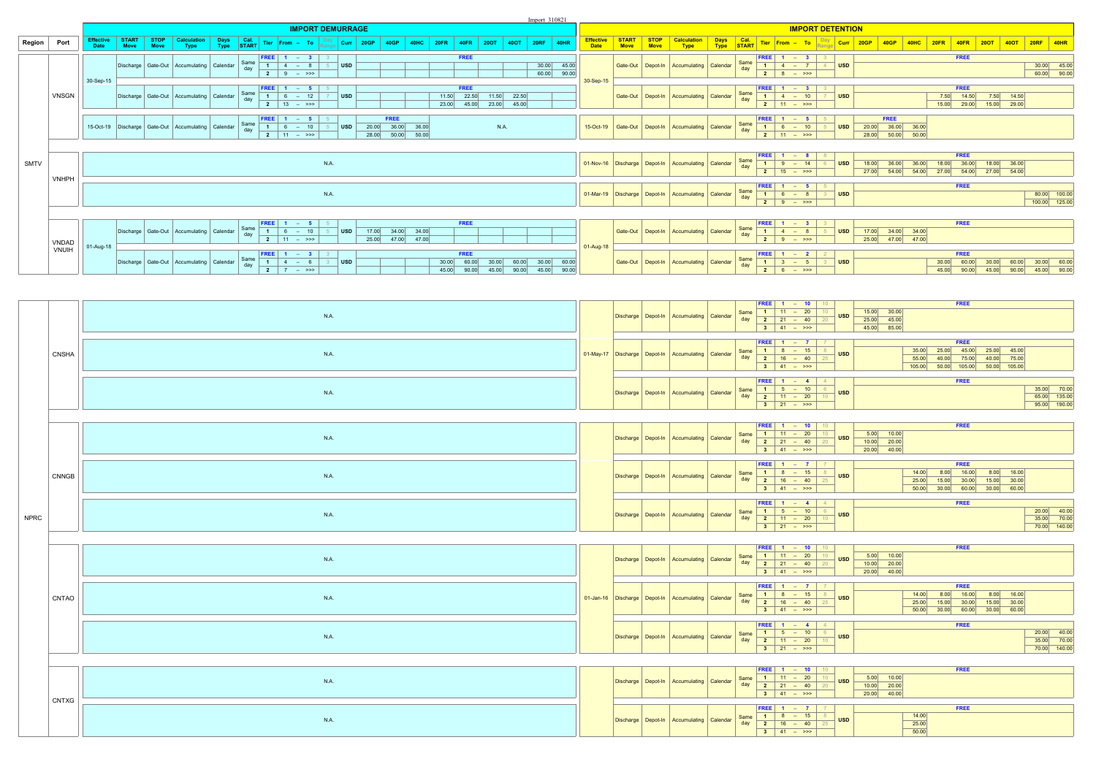|             |                |                                 |                             |                  |                                                            |              |             |                                                                                |                         |       |                                                       |      |                                                 |                |                      | Import 310821         |                       |                                  |               |      |                                                            |          |             |                                                                                                                         |                                                      |            |                                                |          |                |                                    |                                      |                |                                 |
|-------------|----------------|---------------------------------|-----------------------------|------------------|------------------------------------------------------------|--------------|-------------|--------------------------------------------------------------------------------|-------------------------|-------|-------------------------------------------------------|------|-------------------------------------------------|----------------|----------------------|-----------------------|-----------------------|----------------------------------|---------------|------|------------------------------------------------------------|----------|-------------|-------------------------------------------------------------------------------------------------------------------------|------------------------------------------------------|------------|------------------------------------------------|----------|----------------|------------------------------------|--------------------------------------|----------------|---------------------------------|
|             |                |                                 |                             |                  |                                                            |              |             |                                                                                | <b>IMPORT DEMURRAGE</b> |       |                                                       |      |                                                 |                |                      |                       |                       |                                  |               |      |                                                            |          |             |                                                                                                                         | <b>IMPORT DETENTION</b>                              |            |                                                |          |                |                                    |                                      |                |                                 |
| Region      | Port           | <b>Effective</b><br><b>Date</b> | <b>START</b><br><b>Move</b> | $ $ STOP<br>Move | Calculation<br>Type                                        | Days<br>Type |             | START Tier From - To Range Curr                                                |                         | 20GP  | 40GP<br><b>40HC</b>                                   | 20FR | <b>40FR</b>                                     |                |                      | <b>20RF</b>           | 40HR                  | <b>Effective</b><br><b>Date</b>  | START<br>Move | STOP | Calculation<br>Type                                        |          |             |                                                                                                                         | <b>Days</b> Cal. Tier From - To <b>Day</b> Curr 20GP |            | 40GP                                           | $ $ 40HC | 20FR           | $ $ 40FR                           | 200T                                 |                |                                 |
|             |                |                                 |                             |                  | Discharge Gate-Out Accumulating Calendar                   |              | Same<br>day | <b>FREE</b> $\begin{array}{ c c c c }\n\hline\n1 & 4 & - & 8\n\end{array}$     | $\vert$ USD             |       |                                                       |      | <b>FREE</b>                                     |                |                      |                       |                       |                                  |               |      | Gate-Out Depot-In Accumulating Calendar                    |          | Same<br>day |                                                                                                                         | <b>FREE</b> $1 - 3$ 3<br>1 4 - 7 4                   | <b>USD</b> |                                                |          |                | <b>FREE</b>                        |                                      |                |                                 |
|             |                | 30-Sep-15                       |                             |                  |                                                            |              |             | <b>2</b> 9 – >>>                                                               |                         |       |                                                       |      |                                                 |                |                      | $\frac{30.00}{60.00}$ | $\frac{45.00}{90.00}$ | 30-Sep-15                        |               |      |                                                            |          |             | <b>2</b>   8 - >>>                                                                                                      |                                                      |            |                                                |          |                |                                    |                                      |                | 30.00 45.00<br>60.00 90.00      |
|             | <b>VNSGN</b>   |                                 |                             |                  | Discharge   Gate-Out   Accumulating   Calendar             |              | Same<br>day | FREE   $1 - 5$  <br>$1 6 - 12$<br>$2 \t 13 - \t 72$                            | USD                     |       |                                                       |      | <b>FREE</b><br>22.50<br>11.50<br>23.00<br>45.00 | 11.50          | 22.50<br>23.00 45.00 |                       |                       |                                  | Gate-Out      |      | Depot-In   Accumulating                                    | Calendar | Same<br>day | <b>FREE</b> $\begin{array}{ c c c c }\n\hline\n\text{1} & 4 & - & 10 \\ \hline\n\end{array}$<br>$\frac{1}{2}$ 11 - >>>  |                                                      | <b>USD</b> |                                                |          | 7.50<br>15.00  | <b>FREE</b><br>14.50<br>29.00      | 7.50 14.50<br>$\frac{115.00}{29.00}$ |                |                                 |
|             |                |                                 |                             |                  | 15-Oct-19   Discharge   Gate-Out   Accumulating   Calendar |              | Same<br>day | $1 6 - 10$<br><b>2</b>   11 - >>>                                              | <b>USD</b>              |       | <b>FREE</b><br>20.00 36.00 36.00<br>28.00 50.00 50.00 |      |                                                 | N.A.           |                      |                       |                       | 15-Oct-19                        | Gate-Out      |      | Depot-In   Accumulating   Calendar                         |          | Same<br>day | FREE<br>$\begin{array}{ c c c c c }\n\hline\n\textbf{1} & \textbf{6} & - & \textbf{10}\n\end{array}$<br>$2 \t11 - \t32$ |                                                      | <b>USD</b> | FREE<br>20.00 36.00 36.00<br>28.00 50.00 50.00 |          |                |                                    |                                      |                |                                 |
|             |                |                                 |                             |                  |                                                            |              |             |                                                                                |                         |       |                                                       |      |                                                 |                |                      |                       |                       |                                  |               |      |                                                            |          |             |                                                                                                                         |                                                      |            |                                                |          |                |                                    |                                      |                |                                 |
| <b>SMTV</b> |                |                                 |                             |                  |                                                            |              |             |                                                                                | <b>N.A.</b>             |       |                                                       |      |                                                 |                |                      |                       |                       |                                  |               |      | 01-Nov-16   Discharge   Depot-In   Accumulating   Calendar |          | Same<br>day | <b>FREE</b><br>$1 \ 9$<br><b>2</b>   15 - >>>                                                                           | $- 14$                                               |            | 18.00<br>36.00<br>27.00<br>54.00               | 54.00    | 18.00<br>27.00 | FREE<br>36.00<br>54.00 27.00 54.00 | 18.00 36.00                          |                |                                 |
|             | <b>VNHPH</b>   |                                 |                             |                  |                                                            |              |             |                                                                                |                         |       |                                                       |      |                                                 |                |                      |                       |                       |                                  |               |      |                                                            |          | Same        |                                                                                                                         |                                                      |            |                                                |          |                | <b>FREE</b>                        |                                      |                |                                 |
|             |                |                                 |                             |                  |                                                            |              |             |                                                                                | <b>N.A.</b>             |       |                                                       |      |                                                 |                |                      |                       |                       | 01-Mar-19   Discharge   Depot-In |               |      | Accumulating                                               | Calendar | day         | $\begin{array}{ r } \hline \text{FREE} & 1 & - & 5 \\ \hline 1 & 6 & - & 8 \\ \hline 2 & 9 & - & \\\hline \end{array}$  |                                                      | <b>USD</b> |                                                |          |                |                                    |                                      |                | 80.00 100.00<br>100.00 125.00   |
|             |                |                                 |                             |                  |                                                            |              |             |                                                                                |                         |       |                                                       |      |                                                 |                |                      |                       |                       |                                  |               |      |                                                            |          |             |                                                                                                                         |                                                      |            |                                                |          |                |                                    |                                      |                |                                 |
|             |                |                                 |                             |                  | Discharge Gate-Out Accumulating Calendar                   |              | Same<br>day | <b>FREE</b><br>$1 - 5$<br>$- 10$<br>$6\overline{6}$<br>$\overline{2}$ 11 - >>> | <b>USD</b>              | 17.00 | 34.00 34.00<br>25.00 47.00 47.00                      |      | <b>FREE</b>                                     |                |                      |                       |                       |                                  |               |      | Gate-Out   Depot-In   Accumulating   Calendar              |          | Same<br>day | $FREE$ 1 – 3<br>$1 \mid 4$<br>$\frac{1}{2}$ 9                                                                           | $-8$<br>$-$ >>>                                      | <b>USD</b> | 17.00 34.00 34.00<br>25.00 47.00 47.00         |          |                | <b>FREE</b>                        |                                      |                |                                 |
|             | VNDAD<br>VNUIH | 01-Aug-18                       |                             |                  |                                                            |              |             |                                                                                |                         |       |                                                       |      |                                                 |                |                      |                       |                       | 01-Aug-18                        |               |      |                                                            |          |             |                                                                                                                         |                                                      |            |                                                |          |                |                                    |                                      |                |                                 |
|             |                |                                 |                             |                  | Discharge Gate-Out Accumulating Calendar                   |              | Same<br>day | $1 \mid 4 =$<br>2 7 - $\gg$                                                    | <b>USD</b>              |       |                                                       |      | FREE<br>90.00<br>45.00                          | 30.00<br>45.00 | 60.00<br>90.00       | 30.00<br>45.00 90.00  | 60.00                 |                                  | Gate-Out      |      | Depot-In Accumulating                                      | Calendar | Same<br>day | <b>FREE</b><br>$\begin{array}{ c c c c c c }\n\hline\n\textbf{1} & \textbf{3} & - & \textbf{5}\n\end{array}$            |                                                      | <b>USD</b> |                                                |          | 45.00          | FREE<br>60.00<br>90.00             | 45.00                                | 60.00<br>90.00 | $30.00$<br>60.00<br>45.00 90.00 |

|             |              | <b>N.A.</b> |  | Discharge Depot-In Accumulating Calendar                   | day | <b>FREE</b>   1 - 10   10<br>Same $1 \t 11 - 20$<br>10<br><b>USD</b><br>$2 \t 21 - 40$ 20<br>$3 \mid 41 - \gg$                                                                                                                                                                                                                             | $15.00$ 30.00<br>$25.00$ 45.00<br>45.00 85.00  | <b>FREE</b>                                                                                                                                                                       |                                             |
|-------------|--------------|-------------|--|------------------------------------------------------------|-----|--------------------------------------------------------------------------------------------------------------------------------------------------------------------------------------------------------------------------------------------------------------------------------------------------------------------------------------------|------------------------------------------------|-----------------------------------------------------------------------------------------------------------------------------------------------------------------------------------|---------------------------------------------|
|             | <b>CNSHA</b> | <b>N.A.</b> |  | 01-May-17   Discharge   Depot-In   Accumulating   Calendar |     | <b>FREE</b>   1 - 7   7<br>Same 1   8 - 15   8<br><b>USD</b><br>day $2 \t 16 - 40$<br>25<br>$3 \t 41 - \t 32$                                                                                                                                                                                                                              |                                                | <b>FREE</b><br>$35.00$ $25.00$ $45.00$ $25.00$ $45.00$<br>$55.00$ 40.00 75.00 40.00 75.00<br>105.00 50.00 105.00 50.00 105.00                                                     |                                             |
|             |              | <b>N.A.</b> |  | Discharge Depot-In Accumulating Calendar                   |     | <b>FREE</b>   1 - 4   4  <br>Same 1 5 - 10 6<br>day 2 11 - 20 10<br><b>USD</b><br>$3 \t 21 - \t 32$                                                                                                                                                                                                                                        |                                                | <b>FREE</b>                                                                                                                                                                       | 35.00 70.00<br>65.00 135.00<br>95.00 190.00 |
|             |              | <b>N.A.</b> |  | Discharge   Depot-In   Accumulating   Calendar             |     | <b>FREE</b>   1 - 10   10  <br>$\frac{1}{1}$ Same $\begin{array}{ c c c c c c } \hline \text{1} & \text{11} & - & \text{20} & \text{10} \ \hline \end{array}$<br><b>USD</b><br>day $\begin{array}{ c c c c c }\n\hline\n2 & 21 & -40 \\ \hline\n\end{array}$<br>20<br>$\begin{array}{ c c c c c }\n\hline\n3 & 41 & - & & & \n\end{array}$ | $5.00$ 10.00<br>$10.00$ 20.00<br>$20.00$ 40.00 | <b>FREE</b>                                                                                                                                                                       |                                             |
|             | <b>CNNGB</b> | <b>N.A.</b> |  | Discharge   Depot-In   Accumulating   Calendar             |     | <b>FREE</b>   1 – 7   7<br>Same $\begin{array}{ c c c c c }\n\hline\n1 & 8 & - & 15 & 8 \\ \hline\n\text{day} & \textbf{2} & 16 & - & 40 & 25 \\ \hline\n\end{array}$<br><b>USD</b><br>$\begin{array}{ c c c c c } \hline \textbf{3} & \textbf{41} & - & \textbf{522} \\ \hline \end{array}$                                               |                                                | <b>FREE</b><br>$14.00$ $8.00$ $16.00$ $8.00$ $16.00$<br>25.00 15.00 30.00 15.00 30.00<br>$\begin{array}{ c c c c c c c c c } \hline 50.00 & 30.00 & 60.00 \hline \end{array}$     |                                             |
| <b>NPRC</b> |              | <b>N.A.</b> |  | Discharge Depot-In Accumulating Calendar                   |     | <b>FREE</b>   1 - 4   4  <br>Same $1 \t 5 - 10$ 6<br><b>USD</b><br>day $2 \t 11 - 20$ 10<br>$3 \t 21 - \t 32$                                                                                                                                                                                                                              |                                                | <b>FREE</b>                                                                                                                                                                       | 20.00 40.00<br>35.00 70.00<br>70.00 140.00  |
|             |              | <b>N.A.</b> |  | Discharge Depot-In Accumulating Calendar                   |     | <b>FREE</b>   1 - 10   10  <br>Same $\begin{array}{ c c c c c }\n\hline\n1 & 11 & - & 20 & 10 \\ \hline\n\text{day} & \textbf{2} & 21 & - & 40 & 20 \\ \hline\n\end{array}$<br><b>USD</b><br>$\begin{vmatrix} 3 & 41 & - & \rightarrow \rightarrow \end{vmatrix}$                                                                          | $5.00$ 10.00<br>$10.00$ 20.00<br>20.00 40.00   | <b>FREE</b>                                                                                                                                                                       |                                             |
|             | CNTAO        | <b>N.A.</b> |  | 01-Jan-16   Discharge   Depot-In   Accumulating   Calendar |     | <b>FREE</b>   1 - 7   7<br>Same $1 \t 8 - 15 \t 8$<br><b>USD</b><br>day $\begin{array}{ c c c c c }\n\hline\n2 & 16 & -40 & 25 \\ \hline\n\end{array}$<br>$3 \t 41 - \t 32$                                                                                                                                                                |                                                | <b>FREE</b><br>$14.00$ $8.00$ $16.00$ $8.00$ $16.00$<br>$25.00$ 15.00 30.00 15.00 30.00<br>$\begin{array}{ c c c c c c c c c } \hline 50.00 & 30.00 & 60.00 \ \hline \end{array}$ |                                             |
|             |              | <b>N.A.</b> |  | Discharge   Depot-In   Accumulating   Calendar             |     | <b>FREE</b>   1 - 4   4  <br>Same $\begin{array}{ c c c c c }\n\hline\n1 & 5 & - & 10 & 6 \\ \hline\n\text{day} & 2 & 11 & - & 20 & 10 \\ \hline\n\end{array}$<br><b>USD</b><br>$3 \t 21 - \t 32$                                                                                                                                          |                                                | <b>FREE</b>                                                                                                                                                                       | 20.00 40.00<br>35.00 70.00<br>70.00 140.00  |
|             |              | <b>N.A.</b> |  | Discharge   Depot-In   Accumulating   Calendar             |     | <b>FREE</b>   1 - 10   10<br>Same 1 11 - 20 10<br>day 2 21 - 40 20<br><b>USD</b><br>$3   41 - \gg>$                                                                                                                                                                                                                                        | $5.00$ 10.00<br>$10.00$ 20.00<br>$20.00$ 40.00 | <b>FREE</b>                                                                                                                                                                       |                                             |
|             | <b>CNTXG</b> | N.A.        |  | Discharge   Depot-In   Accumulating   Calendar             |     | <b>FREE</b>   1 - 7   7  <br>$\frac{1}{1}$ Same $\frac{1}{1}$ 8 - 15 8<br><b>USD</b><br>day $\begin{array}{ c c c c c }\n\hline\n2 & 16 & -40\n\end{array}$<br>$3 \t 41 - \t 32$                                                                                                                                                           |                                                | <b>FREE</b><br>14.00<br>25.00<br>50.00                                                                                                                                            |                                             |